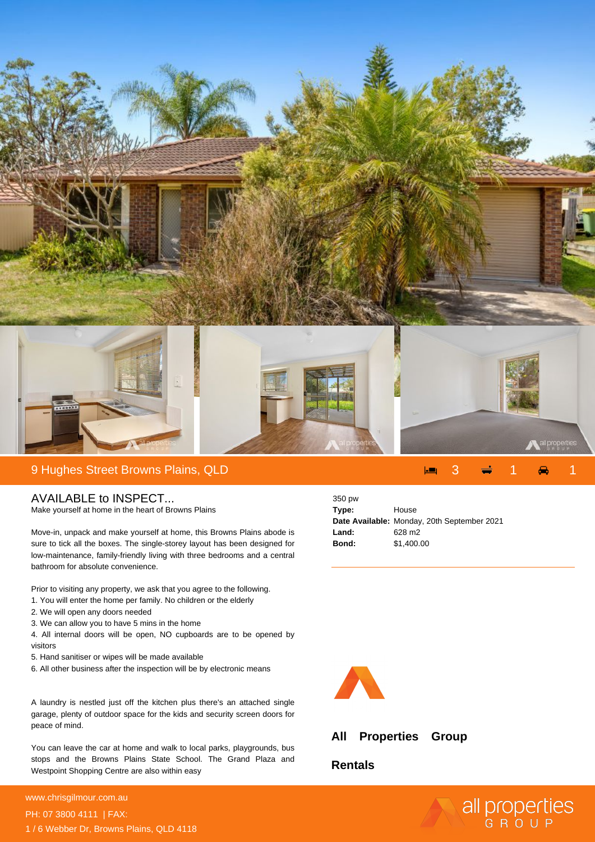

## 9 Hughes Street Browns Plains, QLD 3 1 1

## AVAILABLE to INSPECT...

Make yourself at home in the heart of Browns Plains

Move-in, unpack and make yourself at home, this Browns Plains abode is sure to tick all the boxes. The single-storey layout has been designed for low-maintenance, family-friendly living with three bedrooms and a central bathroom for absolute convenience.

Prior to visiting any property, we ask that you agree to the following.

- 1. You will enter the home per family. No children or the elderly
- 2. We will open any doors needed
- 3. We can allow you to have 5 mins in the home
- 4. All internal doors will be open, NO cupboards are to be opened by visitors
- 5. Hand sanitiser or wipes will be made available
- 6. All other business after the inspection will be by electronic means

A laundry is nestled just off the kitchen plus there's an attached single garage, plenty of outdoor space for the kids and security screen doors for peace of mind.

You can leave the car at home and walk to local parks, playgrounds, bus stops and the Browns Plains State School. The Grand Plaza and Westpoint Shopping Centre are also within easy

## **For more details please visit https://www.chrisgilmour.com.au/6643939** www.chrisgilmour.com.au PH: 07 3800 4111 | FAX: 1 / 6 Webber Dr, Browns Plains, QLD 4118

| 350 pw |                                             |
|--------|---------------------------------------------|
| Type:  | House                                       |
|        | Date Available: Monday, 20th September 2021 |
| Land:  | 628 m <sub>2</sub>                          |
| Bond:  | \$1,400.00                                  |



## **All Properties Group**

**Rentals**